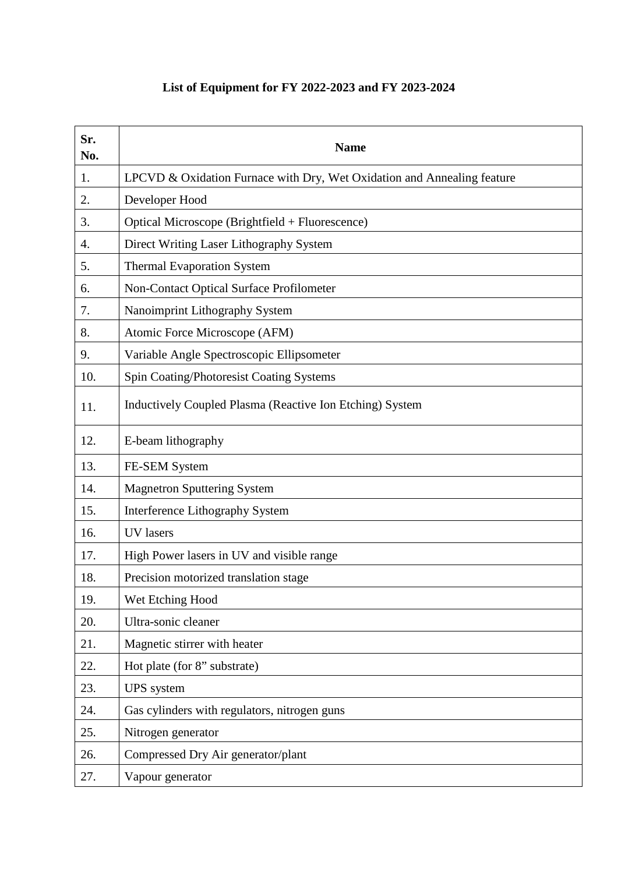## **List of Equipment for FY 2022-2023 and FY 2023-2024**

| Sr.<br>No. | <b>Name</b>                                                             |
|------------|-------------------------------------------------------------------------|
| 1.         | LPCVD & Oxidation Furnace with Dry, Wet Oxidation and Annealing feature |
| 2.         | Developer Hood                                                          |
| 3.         | Optical Microscope (Brightfield + Fluorescence)                         |
| 4.         | Direct Writing Laser Lithography System                                 |
| 5.         | <b>Thermal Evaporation System</b>                                       |
| 6.         | Non-Contact Optical Surface Profilometer                                |
| 7.         | Nanoimprint Lithography System                                          |
| 8.         | Atomic Force Microscope (AFM)                                           |
| 9.         | Variable Angle Spectroscopic Ellipsometer                               |
| 10.        | Spin Coating/Photoresist Coating Systems                                |
| 11.        | Inductively Coupled Plasma (Reactive Ion Etching) System                |
| 12.        | E-beam lithography                                                      |
| 13.        | FE-SEM System                                                           |
| 14.        | <b>Magnetron Sputtering System</b>                                      |
| 15.        | Interference Lithography System                                         |
| 16.        | <b>UV</b> lasers                                                        |
| 17.        | High Power lasers in UV and visible range                               |
| 18.        | Precision motorized translation stage                                   |
| 19.        | Wet Etching Hood                                                        |
| 20.        | Ultra-sonic cleaner                                                     |
| 21.        | Magnetic stirrer with heater                                            |
| 22.        | Hot plate (for 8" substrate)                                            |
| 23.        | <b>UPS</b> system                                                       |
| 24.        | Gas cylinders with regulators, nitrogen guns                            |
| 25.        | Nitrogen generator                                                      |
| 26.        | Compressed Dry Air generator/plant                                      |
| 27.        | Vapour generator                                                        |